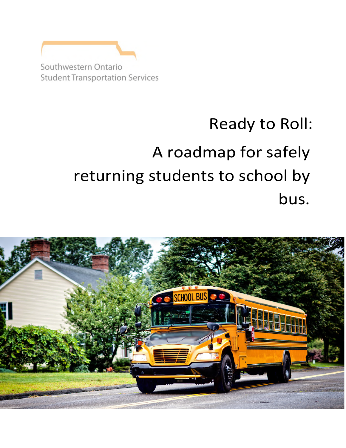Southwestern Ontario **Student Transportation Services** 

# Ready to Roll: A roadmap for safely returning students to school by bus.

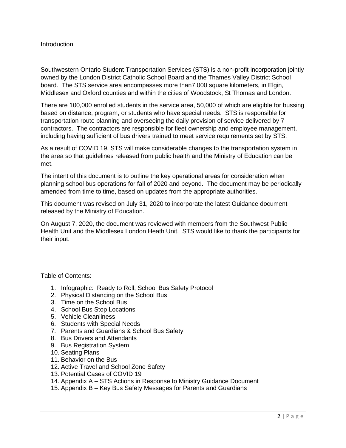Southwestern Ontario Student Transportation Services (STS) is a non-profit incorporation jointly owned by the London District Catholic School Board and the Thames Valley District School board. The STS service area encompasses more than7,000 square kilometers, in Elgin, Middlesex and Oxford counties and within the cities of Woodstock, St Thomas and London.

There are 100,000 enrolled students in the service area, 50,000 of which are eligible for bussing based on distance, program, or students who have special needs. STS is responsible for transportation route planning and overseeing the daily provision of service delivered by 7 contractors. The contractors are responsible for fleet ownership and employee management, including having sufficient of bus drivers trained to meet service requirements set by STS.

As a result of COVID 19, STS will make considerable changes to the transportation system in the area so that guidelines released from public health and the Ministry of Education can be met.

The intent of this document is to outline the key operational areas for consideration when planning school bus operations for fall of 2020 and beyond. The document may be periodically amended from time to time, based on updates from the appropriate authorities.

This document was revised on July 31, 2020 to incorporate the latest Guidance document released by the Ministry of Education.

On August 7, 2020, the document was reviewed with members from the Southwest Public Health Unit and the Middlesex London Heath Unit. STS would like to thank the participants for their input.

Table of Contents:

- 1. Infographic: Ready to Roll, School Bus Safety Protocol
- 2. Physical Distancing on the School Bus
- 3. Time on the School Bus
- 4. School Bus Stop Locations
- 5. Vehicle Cleanliness
- 6. Students with Special Needs
- 7. Parents and Guardians & School Bus Safety
- 8. Bus Drivers and Attendants
- 9. Bus Registration System
- 10. Seating Plans
- 11. Behavior on the Bus
- 12. Active Travel and School Zone Safety
- 13. Potential Cases of COVID 19
- 14. Appendix A STS Actions in Response to Ministry Guidance Document
- 15. Appendix B Key Bus Safety Messages for Parents and Guardians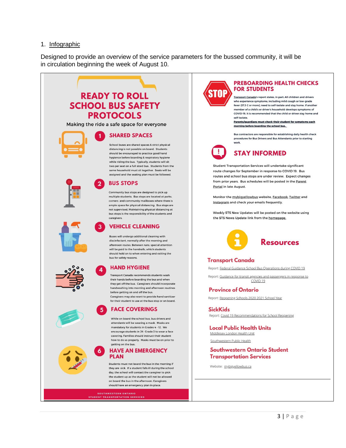#### 1. Infographic

Designed to provide an overview of the service parameters for the bussed community, it will be in circulation beginning the week of August 10.





#### **PREBOARDING HEALTH CHECKS FOR STUDENTS**

Transport Canada's report states, in part: All children and drivers who experience symptoms, including mild cough or low-grade fever (37.3 C or more), need to self-isolate and stay home. If another member of a child's or driver's household develops symptoms of COVID-19, it is recommended that the child or driver stay home and self-isolate

Parents/quardians must check their student for symptoms each morning before boarding the school bus.

Bus contractors are responsible for establishing daily health check procedures for Bus Drivers and Bus Attendants prior to starting work



# **STAY INFORMED**

Student Transportation Services will undertake significant route changes for September in response to COVID 19. Bus routes and school bus stops are under review. Expect changes from prior years. Bus schedules will be posted in the Parent Portal in late August.

Monitor the mybigyellowbus website, Facebook, Twitter and Instagram and check your emails frequently.

Weekly STS New Updates will be posted on the website using the STS News Update link from the homepage



#### **Transport Canada**

Report: Federal Guidance School Bus Operations during COVID 19

Report: Guidance for transit agencies and passengers in response to COVID<sub>19</sub>

**Province of Ontario** 

Report: Reopening Schools 2020 2021 School Year

**SickKids** Report: Covid 19 Recommendations for School Reopening

**Local Public Health Units** Middlesex London Health Unit

Southwestern Public Health

Southwestern Ontario Student **Transportation Services** 

Website: mybigyellowbus.ca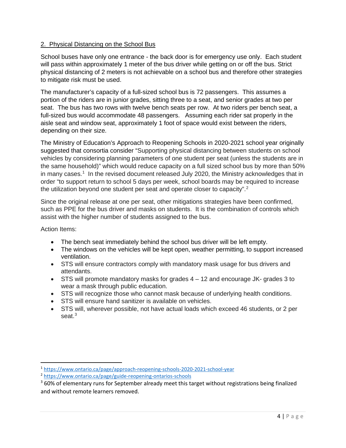# 2. Physical Distancing on the School Bus

School buses have only one entrance - the back door is for emergency use only. Each student will pass within approximately 1 meter of the bus driver while getting on or off the bus. Strict physical distancing of 2 meters is not achievable on a school bus and therefore other strategies to mitigate risk must be used.

The manufacturer's capacity of a full-sized school bus is 72 passengers. This assumes a portion of the riders are in junior grades, sitting three to a seat, and senior grades at two per seat. The bus has two rows with twelve bench seats per row. At two riders per bench seat, a full-sized bus would accommodate 48 passengers. Assuming each rider sat properly in the aisle seat and window seat, approximately 1 foot of space would exist between the riders, depending on their size.

The Ministry of Education's Approach to Reopening Schools in 2020-2021 school year originally suggested that consortia consider "Supporting physical distancing between students on school vehicles by considering planning parameters of one student per seat (unless the students are in the same household)" which would reduce capacity on a full sized school bus by more than 50% in many cases.<sup>[1](#page-3-0)</sup> In the revised document released July 2020, the Ministry acknowledges that in order "to support return to school 5 days per week, school boards may be required to increase the utilization beyond one student per seat and operate closer to capacity".<sup>[2](#page-3-1)</sup>

Since the original release at one per seat, other mitigations strategies have been confirmed, such as PPE for the bus driver and masks on students. It is the combination of controls which assist with the higher number of students assigned to the bus.

Action Items:

- The bench seat immediately behind the school bus driver will be left empty.
- The windows on the vehicles will be kept open, weather permitting, to support increased ventilation.
- STS will ensure contractors comply with mandatory mask usage for bus drivers and attendants.
- STS will promote mandatory masks for grades 4 12 and encourage JK- grades 3 to wear a mask through public education.
- STS will recognize those who cannot mask because of underlying health conditions.
- STS will ensure hand sanitizer is available on vehicles.
- STS will, wherever possible, not have actual loads which exceed 46 students, or 2 per seat.<sup>[3](#page-3-2)</sup>

<span id="page-3-0"></span><sup>1</sup> <https://www.ontario.ca/page/approach-reopening-schools-2020-2021-school-year>

<span id="page-3-1"></span><sup>2</sup> <https://www.ontario.ca/page/guide-reopening-ontarios-schools>

<span id="page-3-2"></span> $360\%$  of elementary runs for September already meet this target without registrations being finalized and without remote learners removed.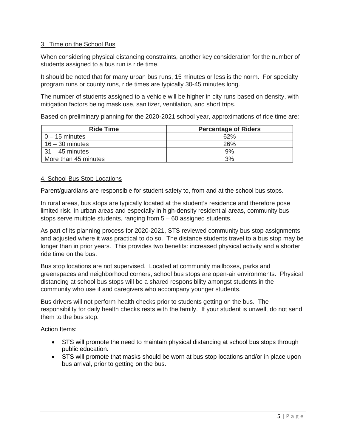# 3. Time on the School Bus

When considering physical distancing constraints, another key consideration for the number of students assigned to a bus run is ride time.

It should be noted that for many urban bus runs, 15 minutes or less is the norm. For specialty program runs or county runs, ride times are typically 30-45 minutes long.

The number of students assigned to a vehicle will be higher in city runs based on density, with mitigation factors being mask use, sanitizer, ventilation, and short trips.

Based on preliminary planning for the 2020-2021 school year, approximations of ride time are:

| <b>Ride Time</b>     | <b>Percentage of Riders</b> |
|----------------------|-----------------------------|
| $0 - 15$ minutes     | 62%                         |
| $16 - 30$ minutes    | 26%                         |
| $31 - 45$ minutes    | $.9\%$                      |
| More than 45 minutes | 3%                          |

#### 4. School Bus Stop Locations

Parent/guardians are responsible for student safety to, from and at the school bus stops.

In rural areas, bus stops are typically located at the student's residence and therefore pose limited risk. In urban areas and especially in high-density residential areas, community bus stops serve multiple students, ranging from 5 – 60 assigned students.

As part of its planning process for 2020-2021, STS reviewed community bus stop assignments and adjusted where it was practical to do so. The distance students travel to a bus stop may be longer than in prior years. This provides two benefits: increased physical activity and a shorter ride time on the bus.

Bus stop locations are not supervised. Located at community mailboxes, parks and greenspaces and neighborhood corners, school bus stops are open-air environments. Physical distancing at school bus stops will be a shared responsibility amongst students in the community who use it and caregivers who accompany younger students.

Bus drivers will not perform health checks prior to students getting on the bus. The responsibility for daily health checks rests with the family. If your student is unwell, do not send them to the bus stop.

Action Items:

- STS will promote the need to maintain physical distancing at school bus stops through public education.
- STS will promote that masks should be worn at bus stop locations and/or in place upon bus arrival, prior to getting on the bus.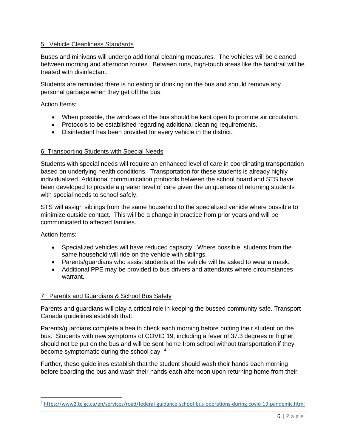### 5. Vehicle Cleanliness Standards

Buses and minivans will undergo additional cleaning measures. The vehicles will be cleaned between morning and afternoon routes. Between runs, high-touch areas like the handrail will be treated with disinfectant.

Students are reminded there is no eating or drinking on the bus and should remove any personal garbage when they get off the bus.

Action Items:

- When possible, the windows of the bus should be kept open to promote air circulation.
- Protocols to be established regarding additional cleaning requirements.
- Disinfectant has been provided for every vehicle in the district.

#### 6. Transporting Students with Special Needs

Students with special needs will require an enhanced level of care in coordinating transportation based on underlying health conditions. Transportation for these students is already highly individualized. Additional communication protocols between the school board and STS have been developed to provide a greater level of care given the uniqueness of returning students with special needs to school safely.

STS will assign siblings from the same household to the specialized vehicle where possible to minimize outside contact. This will be a change in practice from prior years and will be communicated to affected families.

Action Items:

- Specialized vehicles will have reduced capacity. Where possible, students from the same household will ride on the vehicle with siblings.
- Parents/guardians who assist students at the vehicle will be asked to wear a mask.
- Additional PPE may be provided to bus drivers and attendants where circumstances warrant.

#### 7. Parents and Guardians & School Bus Safety

Parents and guardians will play a critical role in keeping the bussed community safe. Transport Canada guidelines establish that:

Parents/guardians complete a health check each morning before putting their student on the bus. Students with new symptoms of COVID 19, including a fever of 37.3 degrees or higher, should not be put on the bus and will be sent home from school without transportation if they become symptomatic during the school day. <sup>[4](#page-5-0)</sup>

Further, these guidelines establish that the student should wash their hands each morning before boarding the bus and wash their hands each afternoon upon returning home from their

<span id="page-5-0"></span><sup>4</sup> <https://www2.tc.gc.ca/en/services/road/federal-guidance-school-bus-operations-during-covid-19-pandemic.html>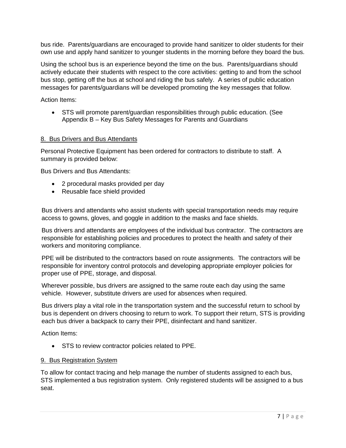bus ride. Parents/guardians are encouraged to provide hand sanitizer to older students for their own use and apply hand sanitizer to younger students in the morning before they board the bus.

Using the school bus is an experience beyond the time on the bus. Parents/guardians should actively educate their students with respect to the core activities: getting to and from the school bus stop, getting off the bus at school and riding the bus safely. A series of public education messages for parents/guardians will be developed promoting the key messages that follow.

Action Items:

• STS will promote parent/guardian responsibilities through public education. (See Appendix B – Key Bus Safety Messages for Parents and Guardians

#### 8. Bus Drivers and Bus Attendants

Personal Protective Equipment has been ordered for contractors to distribute to staff. A summary is provided below:

Bus Drivers and Bus Attendants:

- 2 procedural masks provided per day
- Reusable face shield provided

Bus drivers and attendants who assist students with special transportation needs may require access to gowns, gloves, and goggle in addition to the masks and face shields.

Bus drivers and attendants are employees of the individual bus contractor. The contractors are responsible for establishing policies and procedures to protect the health and safety of their workers and monitoring compliance.

PPE will be distributed to the contractors based on route assignments. The contractors will be responsible for inventory control protocols and developing appropriate employer policies for proper use of PPE, storage, and disposal.

Wherever possible, bus drivers are assigned to the same route each day using the same vehicle. However, substitute drivers are used for absences when required.

Bus drivers play a vital role in the transportation system and the successful return to school by bus is dependent on drivers choosing to return to work. To support their return, STS is providing each bus driver a backpack to carry their PPE, disinfectant and hand sanitizer.

Action Items:

• STS to review contractor policies related to PPE.

#### 9. Bus Registration System

To allow for contact tracing and help manage the number of students assigned to each bus, STS implemented a bus registration system. Only registered students will be assigned to a bus seat.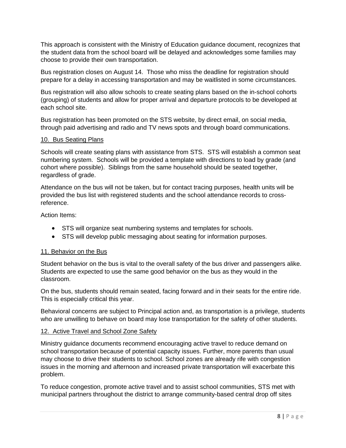This approach is consistent with the Ministry of Education guidance document, recognizes that the student data from the school board will be delayed and acknowledges some families may choose to provide their own transportation.

Bus registration closes on August 14. Those who miss the deadline for registration should prepare for a delay in accessing transportation and may be waitlisted in some circumstances.

Bus registration will also allow schools to create seating plans based on the in-school cohorts (grouping) of students and allow for proper arrival and departure protocols to be developed at each school site.

Bus registration has been promoted on the STS website, by direct email, on social media, through paid advertising and radio and TV news spots and through board communications.

#### 10. Bus Seating Plans

Schools will create seating plans with assistance from STS. STS will establish a common seat numbering system. Schools will be provided a template with directions to load by grade (and cohort where possible). Siblings from the same household should be seated together, regardless of grade.

Attendance on the bus will not be taken, but for contact tracing purposes, health units will be provided the bus list with registered students and the school attendance records to crossreference.

Action Items:

- STS will organize seat numbering systems and templates for schools.
- STS will develop public messaging about seating for information purposes.

# 11. Behavior on the Bus

Student behavior on the bus is vital to the overall safety of the bus driver and passengers alike. Students are expected to use the same good behavior on the bus as they would in the classroom.

On the bus, students should remain seated, facing forward and in their seats for the entire ride. This is especially critical this year.

Behavioral concerns are subject to Principal action and, as transportation is a privilege, students who are unwilling to behave on board may lose transportation for the safety of other students.

#### 12. Active Travel and School Zone Safety

Ministry guidance documents recommend encouraging active travel to reduce demand on school transportation because of potential capacity issues. Further, more parents than usual may choose to drive their students to school. School zones are already rife with congestion issues in the morning and afternoon and increased private transportation will exacerbate this problem.

To reduce congestion, promote active travel and to assist school communities, STS met with municipal partners throughout the district to arrange community-based central drop off sites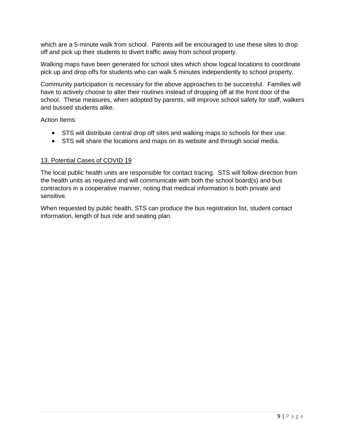which are a 5-minute walk from school. Parents will be encouraged to use these sites to drop off and pick up their students to divert traffic away from school property.

Walking maps have been generated for school sites which show logical locations to coordinate pick up and drop offs for students who can walk 5 minutes independently to school property.

Community participation is necessary for the above approaches to be successful. Families will have to actively choose to alter their routines instead of dropping off at the front door of the school. These measures, when adopted by parents, will improve school safety for staff, walkers and bussed students alike.

Action Items:

- STS will distribute central drop off sites and walking maps to schools for their use.
- STS will share the locations and maps on its website and through social media.

#### 13. Potential Cases of COVID 19

The local public health units are responsible for contact tracing. STS will follow direction from the health units as required and will communicate with both the school board(s) and bus contractors in a cooperative manner, noting that medical information is both private and sensitive.

When requested by public health, STS can produce the bus registration list, student contact information, length of bus ride and seating plan.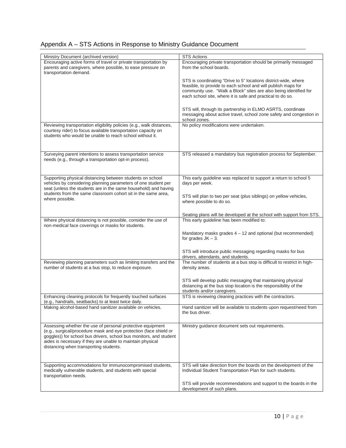|  | Appendix A – STS Actions in Response to Ministry Guidance Document |
|--|--------------------------------------------------------------------|
|  |                                                                    |

| Ministry Document (archived version)<br>Encouraging active forms of travel or private transportation by<br>parents and caregivers, where possible, to ease pressure on<br>transportation demand.                                                                                                              | <b>STS</b> Actions<br>Encouraging private transportation should be primarily messaged<br>from the school boards.                                                                                                                                                    |
|---------------------------------------------------------------------------------------------------------------------------------------------------------------------------------------------------------------------------------------------------------------------------------------------------------------|---------------------------------------------------------------------------------------------------------------------------------------------------------------------------------------------------------------------------------------------------------------------|
|                                                                                                                                                                                                                                                                                                               | STS is coordinating "Drive to 5" locations district-wide, where<br>feasible, to provide to each school and will publish maps for<br>community use. "Walk a Block" sites are also being identified for<br>each school site, where it is safe and practical to do so. |
|                                                                                                                                                                                                                                                                                                               | STS will, through its partnership in ELMO ASRTS, coordinate<br>messaging about active travel, school zone safety and congestion in<br>school zones.                                                                                                                 |
| Reviewing transportation eligibility policies (e.g., walk distances,<br>courtesy rider) to focus available transportation capacity on<br>students who would be unable to reach school without it.                                                                                                             | No policy modifications were undertaken.                                                                                                                                                                                                                            |
| Surveying parent intentions to assess transportation service<br>needs (e.g., through a transportation opt-in process).                                                                                                                                                                                        | STS released a mandatory bus registration process for September.                                                                                                                                                                                                    |
| Supporting physical distancing between students on school<br>vehicles by considering planning parameters of one student per<br>seat (unless the students are in the same household) and having<br>students from the same classroom cohort sit in the same area,                                               | This early guideline was replaced to support a return to school 5<br>days per week.                                                                                                                                                                                 |
| where possible.                                                                                                                                                                                                                                                                                               | STS will plan to two per seat (plus siblings) on yellow vehicles,<br>where possible to do so.                                                                                                                                                                       |
|                                                                                                                                                                                                                                                                                                               | Seating plans will be developed at the school with support from STS.                                                                                                                                                                                                |
| Where physical distancing is not possible, consider the use of<br>non-medical face coverings or masks for students.                                                                                                                                                                                           | This early guideline has been modified to:                                                                                                                                                                                                                          |
|                                                                                                                                                                                                                                                                                                               | Mandatory masks grades 4 - 12 and optional (but recommended)<br>for grades $JK - 3$ .                                                                                                                                                                               |
|                                                                                                                                                                                                                                                                                                               | STS will introduce public messaging regarding masks for bus<br>drivers, attendants, and students.                                                                                                                                                                   |
| Reviewing planning parameters such as limiting transfers and the<br>number of students at a bus stop, to reduce exposure.                                                                                                                                                                                     | The number of students at a bus stop is difficult to restrict in high-<br>density areas.                                                                                                                                                                            |
|                                                                                                                                                                                                                                                                                                               | STS will develop public messaging that maintaining physical<br>distancing at the bus stop location is the responsibility of the<br>students and/or caregivers.                                                                                                      |
| Enhancing cleaning protocols for frequently touched surfaces<br>(e.g., handrails, seatbacks) to at least twice daily.                                                                                                                                                                                         | STS is reviewing cleaning practices with the contractors.                                                                                                                                                                                                           |
| Making alcohol-based hand sanitizer available on vehicles.                                                                                                                                                                                                                                                    | Hand sanitizer will be available to students upon request/need from<br>the bus driver.                                                                                                                                                                              |
| Assessing whether the use of personal protective equipment<br>(e.g., surgical/procedure mask and eye protection (face shield or<br>goggles)) for school bus drivers, school bus monitors, and student<br>aides is necessary if they are unable to maintain physical<br>distancing when transporting students. | Ministry guidance document sets out requirements.                                                                                                                                                                                                                   |
| Supporting accommodations for immunocompromised students,<br>medically vulnerable students, and students with special<br>transportation needs.                                                                                                                                                                | STS will take direction from the boards on the development of the<br>Individual Student Transportation Plan for such students.                                                                                                                                      |
|                                                                                                                                                                                                                                                                                                               | STS will provide recommendations and support to the boards in the<br>development of such plans.                                                                                                                                                                     |